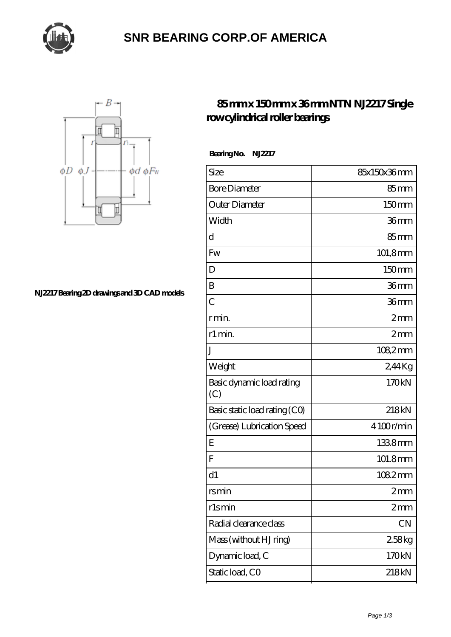

## **[SNR BEARING CORP.OF AMERICA](https://m.thebestofquebec.com)**



**[NJ2217 Bearing 2D drawings and 3D CAD models](https://m.thebestofquebec.com/pic-64978988.html)**

## **[85 mm x 150 mm x 36 mm NTN NJ2217 Single](https://m.thebestofquebec.com/by-64978988-ntn-nj2217-single-row-cylindrical-roller-bearings.html) [row cylindrical roller bearings](https://m.thebestofquebec.com/by-64978988-ntn-nj2217-single-row-cylindrical-roller-bearings.html)**

 **Bearing No. NJ2217**

| Size                             | 85x150x36mm      |
|----------------------------------|------------------|
| <b>Bore Diameter</b>             | $85 \text{mm}$   |
| Outer Diameter                   | 150mm            |
| Width                            | 36 <sub>mm</sub> |
| d                                | $85 \text{mm}$   |
| Fw                               | 101,8mm          |
| D                                | 150mm            |
| B                                | 36mm             |
| $\overline{C}$                   | 36mm             |
| r min.                           | 2mm              |
| r1 min.                          | 2mm              |
| J                                | 1082mm           |
| Weight                           | 2,44Kg           |
| Basic dynamic load rating<br>(C) | 170kN            |
| Basic static load rating (CO)    | 218kN            |
| (Grease) Lubrication Speed       | 4100r/min        |
| E                                | 1338mm           |
| F                                | 101.8mm          |
| d1                               | 1082mm           |
| rsmin                            | 2mm              |
| rlsmin                           | 2mm              |
| Radial clearance class           | CN               |
| Mass (without HJ ring)           | 258kg            |
| Dynamic load, C                  | 170kN            |
| Static load, CO                  | 218kN            |
|                                  |                  |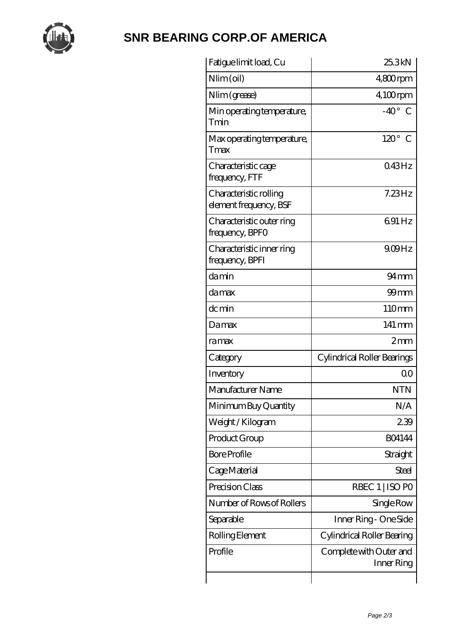

## **[SNR BEARING CORP.OF AMERICA](https://m.thebestofquebec.com)**

| Fatigue limit load, Cu                           | 25.3kN                                |
|--------------------------------------------------|---------------------------------------|
| Nlim (oil)                                       | $4800$ rpm                            |
| Nlim (grease)                                    | $4,100$ rpm                           |
| Min operating temperature,<br>Tmin               | $-40^\circ$ C                         |
| Max operating temperature,<br>Tmax               | $120^\circ$<br>C                      |
| Characteristic cage<br>frequency, FTF            | 043Hz                                 |
| Characteristic rolling<br>element frequency, BSF | $7.23$ Hz                             |
| Characteristic outer ring<br>frequency, BPFO     | 691 Hz                                |
| Characteristic inner ring<br>frequency, BPFI     | $9.09$ Hz                             |
| damin                                            | 94 <sub>mm</sub>                      |
| damax                                            | $99$ mm                               |
| dc min                                           | 110mm                                 |
| Damax                                            | 141 mm                                |
| ramax                                            | 2mm                                   |
| Category                                         | Cylindrical Roller Bearings           |
| Inventory                                        | 0 <sup>0</sup>                        |
| Manufacturer Name                                | <b>NTN</b>                            |
| Minimum Buy Quantity                             | N/A                                   |
| Weight / Kilogram                                | 239                                   |
| Product Group                                    | <b>BO4144</b>                         |
| <b>Bore Profile</b>                              | Straight                              |
| Cage Material                                    | <b>Steel</b>                          |
| Precision Class                                  | RBEC 1   ISO PO                       |
| Number of Rows of Rollers                        | Single Row                            |
| Separable                                        | Inner Ring - One Side                 |
| Rolling Element                                  | Cylindrical Roller Bearing            |
| Profile                                          | Complete with Outer and<br>Inner Ring |
|                                                  |                                       |